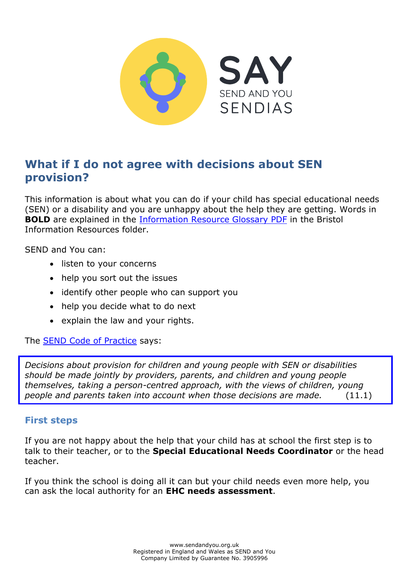

# **What if I do not agree with decisions about SEN provision?**

This information is about what you can do if your child has special educational needs (SEN) or a disability and you are unhappy about the help they are getting. Words in **BOLD** are explained in the [Information Resource Glossary PDF](https://www.sendandyou.org.uk/wp-content/uploads/2021/08/Information-Resource-Glossary-REVISED2-new.pdf) in the Bristol Information Resources folder.

SEND and You can:

- listen to your concerns
- help you sort out the issues
- identify other people who can support you
- help you decide what to do next
- explain the law and your rights.

The [SEND Code of Practice](https://www.gov.uk/government/publications/send-code-of-practice-0-to-25) says:

*Decisions about provision for children and young people with SEN or disabilities should be made jointly by providers, parents, and children and young people themselves, taking a person-centred approach, with the views of children, young people and parents taken into account when those decisions are made.* (11.1)

#### **First steps**

If you are not happy about the help that your child has at school the first step is to talk to their teacher, or to the **Special Educational Needs Coordinator** or the head teacher.

If you think the school is doing all it can but your child needs even more help, you can ask the local authority for an **EHC needs assessment**.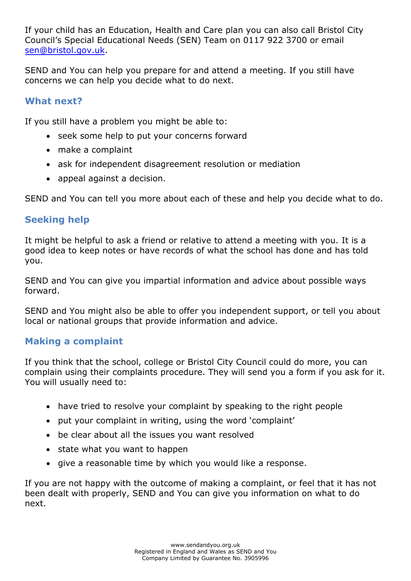If your child has an Education, Health and Care plan you can also call Bristol City Council's Special Educational Needs (SEN) Team on 0117 922 3700 or email [sen@bristol.gov.uk.](mailto:sen@bristol.gov.uk)

SEND and You can help you prepare for and attend a meeting. If you still have concerns we can help you decide what to do next.

### **What next?**

If you still have a problem you might be able to:

- seek some help to put your concerns forward
- make a complaint
- ask for independent disagreement resolution or mediation
- appeal against a decision.

SEND and You can tell you more about each of these and help you decide what to do.

# **Seeking help**

It might be helpful to ask a friend or relative to attend a meeting with you. It is a good idea to keep notes or have records of what the school has done and has told you.

SEND and You can give you impartial information and advice about possible ways forward.

SEND and You might also be able to offer you independent support, or tell you about local or national groups that provide information and advice.

#### **Making a complaint**

If you think that the school, college or Bristol City Council could do more, you can complain using their complaints procedure. They will send you a form if you ask for it. You will usually need to:

- have tried to resolve your complaint by speaking to the right people
- put your complaint in writing, using the word 'complaint'
- be clear about all the issues you want resolved
- state what you want to happen
- give a reasonable time by which you would like a response.

If you are not happy with the outcome of making a complaint, or feel that it has not been dealt with properly, SEND and You can give you information on what to do next.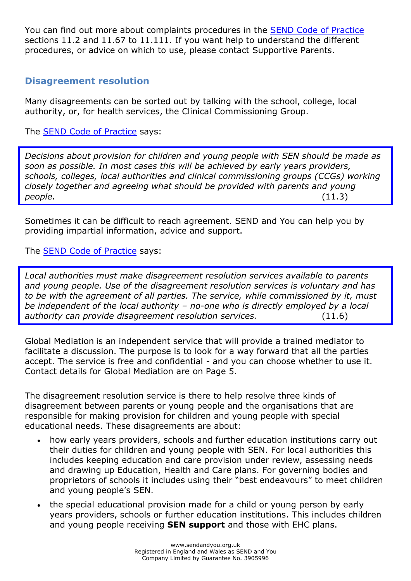You can find out more about complaints procedures in the [SEND Code of Practice](https://www.gov.uk/government/publications/send-code-of-practice-0-to-25) sections 11.2 and 11.67 to 11.111. If you want help to understand the different procedures, or advice on which to use, please contact Supportive Parents.

### **Disagreement resolution**

Many disagreements can be sorted out by talking with the school, college, local authority, or, for health services, the Clinical Commissioning Group.

The **SEND Code of Practice** says:

*Decisions about provision for children and young people with SEN should be made as soon as possible. In most cases this will be achieved by early years providers, schools, colleges, local authorities and clinical commissioning groups (CCGs) working closely together and agreeing what should be provided with parents and young people.* (11.3)

Sometimes it can be difficult to reach agreement. SEND and You can help you by providing impartial information, advice and support.

#### The [SEND Code of Practice](https://www.gov.uk/government/publications/send-code-of-practice-0-to-25) says:

*Local authorities must make disagreement resolution services available to parents and young people. Use of the disagreement resolution services is voluntary and has to be with the agreement of all parties. The service, while commissioned by it, must be independent of the local authority – no-one who is directly employed by a local authority can provide disagreement resolution services.* (11.6)

Global Mediation is an independent service that will provide a trained mediator to facilitate a discussion. The purpose is to look for a way forward that all the parties accept. The service is free and confidential - and you can choose whether to use it. Contact details for Global Mediation are on Page 5.

The disagreement resolution service is there to help resolve three kinds of disagreement between parents or young people and the organisations that are responsible for making provision for children and young people with special educational needs. These disagreements are about:

- how early years providers, schools and further education institutions carry out their duties for children and young people with SEN. For local authorities this includes keeping education and care provision under review, assessing needs and drawing up Education, Health and Care plans. For governing bodies and proprietors of schools it includes using their "best endeavours" to meet children and young people's SEN.
- the special educational provision made for a child or young person by early years providers, schools or further education institutions. This includes children and young people receiving **SEN support** and those with EHC plans.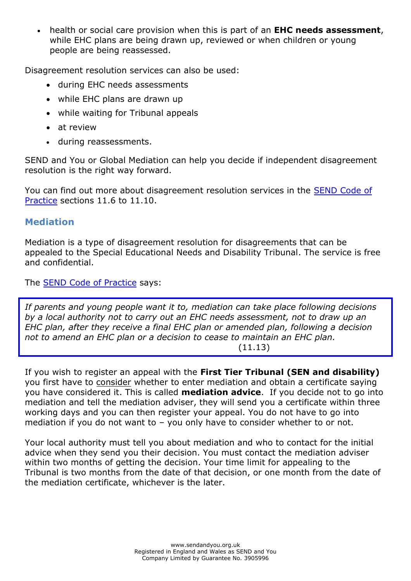health or social care provision when this is part of an **EHC needs assessment**, while EHC plans are being drawn up, reviewed or when children or young people are being reassessed.

Disagreement resolution services can also be used:

- during EHC needs assessments
- while EHC plans are drawn up
- while waiting for Tribunal appeals
- at review
- during reassessments.

SEND and You or Global Mediation can help you decide if independent disagreement resolution is the right way forward.

You can find out more about disagreement resolution services in the [SEND Code of](https://www.gov.uk/government/publications/send-code-of-practice-0-to-25) [Practice](https://www.gov.uk/government/publications/send-code-of-practice-0-to-25) sections 11.6 to 11.10.

# **Mediation**

Mediation is a type of disagreement resolution for disagreements that can be appealed to the Special Educational Needs and Disability Tribunal. The service is free and confidential.

The [SEND Code of Practice](https://www.gov.uk/government/publications/send-code-of-practice-0-to-25) says:

*If parents and young people want it to, mediation can take place following decisions by a local authority not to carry out an EHC needs assessment, not to draw up an EHC plan, after they receive a final EHC plan or amended plan, following a decision not to amend an EHC plan or a decision to cease to maintain an EHC plan.*   $(11.13)$ 

If you wish to register an appeal with the **First Tier Tribunal (SEN and disability)**  you first have to consider whether to enter mediation and obtain a certificate saying you have considered it. This is called **mediation advice**. If you decide not to go into mediation and tell the mediation adviser, they will send you a certificate within three working days and you can then register your appeal. You do not have to go into mediation if you do not want to – you only have to consider whether to or not.

Your local authority must tell you about mediation and who to contact for the initial advice when they send you their decision. You must contact the mediation adviser within two months of getting the decision. Your time limit for appealing to the Tribunal is two months from the date of that decision, or one month from the date of the mediation certificate, whichever is the later.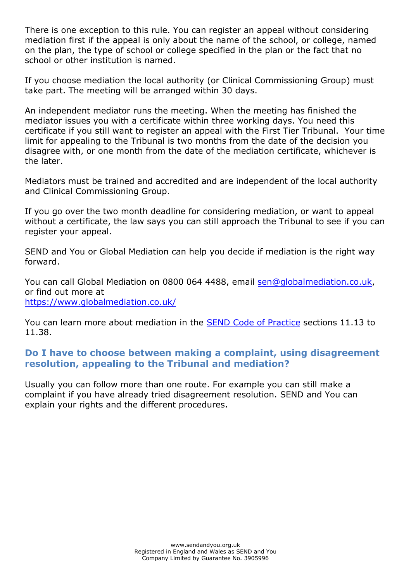There is one exception to this rule. You can register an appeal without considering mediation first if the appeal is only about the name of the school, or college, named on the plan, the type of school or college specified in the plan or the fact that no school or other institution is named.

If you choose mediation the local authority (or Clinical Commissioning Group) must take part. The meeting will be arranged within 30 days.

An independent mediator runs the meeting. When the meeting has finished the mediator issues you with a certificate within three working days. You need this certificate if you still want to register an appeal with the First Tier Tribunal. Your time limit for appealing to the Tribunal is two months from the date of the decision you disagree with, or one month from the date of the mediation certificate, whichever is the later.

Mediators must be trained and accredited and are independent of the local authority and Clinical Commissioning Group.

If you go over the two month deadline for considering mediation, or want to appeal without a certificate, the law says you can still approach the Tribunal to see if you can register your appeal.

SEND and You or Global Mediation can help you decide if mediation is the right way forward.

You can call Global Mediation on 0800 064 4488, email [sen@globalmediation.co.uk,](mailto:sen@globalmediation.co.uk)  or find out more at <https://www.globalmediation.co.uk/>

You can learn more about mediation in the [SEND Code of Practice](https://www.gov.uk/government/publications/send-code-of-practice-0-to-25) sections 11.13 to 11.38.

### **Do I have to choose between making a complaint, using disagreement resolution, appealing to the Tribunal and mediation?**

Usually you can follow more than one route. For example you can still make a complaint if you have already tried disagreement resolution. SEND and You can explain your rights and the different procedures.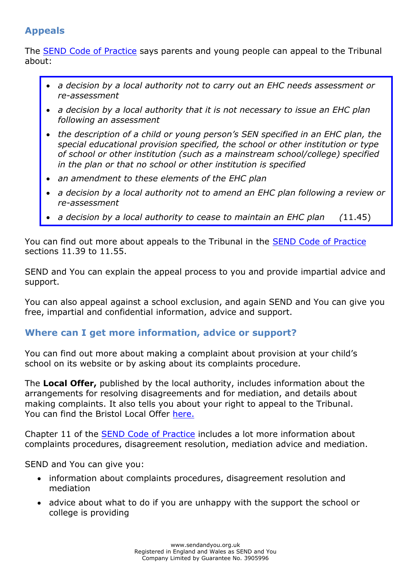# **Appeals**

The [SEND Code of Practice](https://www.gov.uk/government/publications/send-code-of-practice-0-to-25) says parents and young people can appeal to the Tribunal about:

- *a decision by a local authority not to carry out an EHC needs assessment or re-assessment*
- *a decision by a local authority that it is not necessary to issue an EHC plan following an assessment*
- *the description of a child or young person's SEN specified in an EHC plan, the special educational provision specified, the school or other institution or type of school or other institution (such as a mainstream school/college) specified in the plan or that no school or other institution is specified*
- *an amendment to these elements of the EHC plan*
- *a decision by a local authority not to amend an EHC plan following a review or re-assessment*
- *a decision by a local authority to cease to maintain an EHC plan (*11.45)

You can find out more about appeals to the Tribunal in the [SEND Code of Practice](https://www.gov.uk/government/publications/send-code-of-practice-0-to-25) sections 11.39 to 11.55.

SEND and You can explain the appeal process to you and provide impartial advice and support.

You can also appeal against a school exclusion, and again SEND and You can give you free, impartial and confidential information, advice and support.

### **Where can I get more information, advice or support?**

You can find out more about making a complaint about provision at your child's school on its website or by asking about its complaints procedure.

The **Local Offer,** published by the local authority, includes information about the arrangements for resolving disagreements and for mediation, and details about making complaints. It also tells you about your right to appeal to the Tribunal. You can find the Bristol Local Offer [here.](https://www.bristol.gov.uk/web/bristol-local-offer)

Chapter 11 of the [SEND Code of Practice](https://www.gov.uk/government/publications/send-code-of-practice-0-to-25) includes a lot more information about complaints procedures, disagreement resolution, mediation advice and mediation.

SEND and You can give you:

- information about complaints procedures, disagreement resolution and mediation
- advice about what to do if you are unhappy with the support the school or college is providing